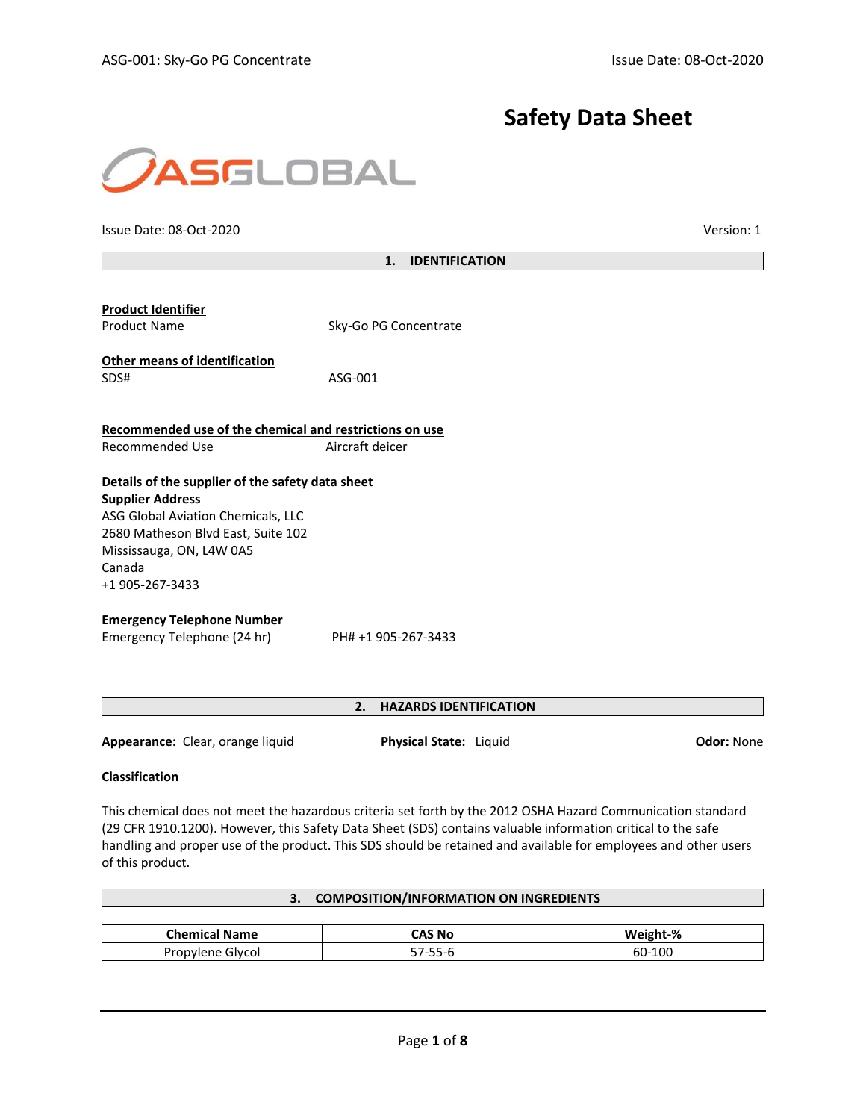# **Safety Data Sheet**



Issue Date: 08-Oct-2020 Version: 1

| 1. | <b>IDENTIFICATION</b> |
|----|-----------------------|
|    |                       |

| <b>Product Identifier</b><br><b>Product Name</b>                                                                                                                                                                 | Sky-Go PG Concentrate |
|------------------------------------------------------------------------------------------------------------------------------------------------------------------------------------------------------------------|-----------------------|
| <b>Other means of identification</b><br>SDS#                                                                                                                                                                     | ASG-001               |
| Recommended use of the chemical and restrictions on use                                                                                                                                                          |                       |
| Recommended Use                                                                                                                                                                                                  | Aircraft deicer       |
| Details of the supplier of the safety data sheet<br><b>Supplier Address</b><br>ASG Global Aviation Chemicals, LLC<br>2680 Matheson Blvd East, Suite 102<br>Mississauga, ON, L4W 0A5<br>Canada<br>+1 905-267-3433 |                       |
| <b>Emergency Telephone Number</b><br>Emergency Telephone (24 hr)                                                                                                                                                 | PH# +1 905-267-3433   |

# **2. HAZARDS IDENTIFICATION**

**Appearance:** Clear, orange liquid **Physical State:** Liquid **Odor:** None

# **Classification**

This chemical does not meet the hazardous criteria set forth by the 2012 OSHA Hazard Communication standard (29 CFR 1910.1200). However, this Safety Data Sheet (SDS) contains valuable information critical to the safe handling and proper use of the product. This SDS should be retained and available for employees and other users of this product.

|                      | <b>COMPOSITION/INFORMATION ON INGREDIENTS</b> |          |
|----------------------|-----------------------------------------------|----------|
|                      |                                               |          |
| <b>Chemical Name</b> | CAS No                                        | Weight-% |
| Propylene Glycol     | 57-55-6                                       | 60-100   |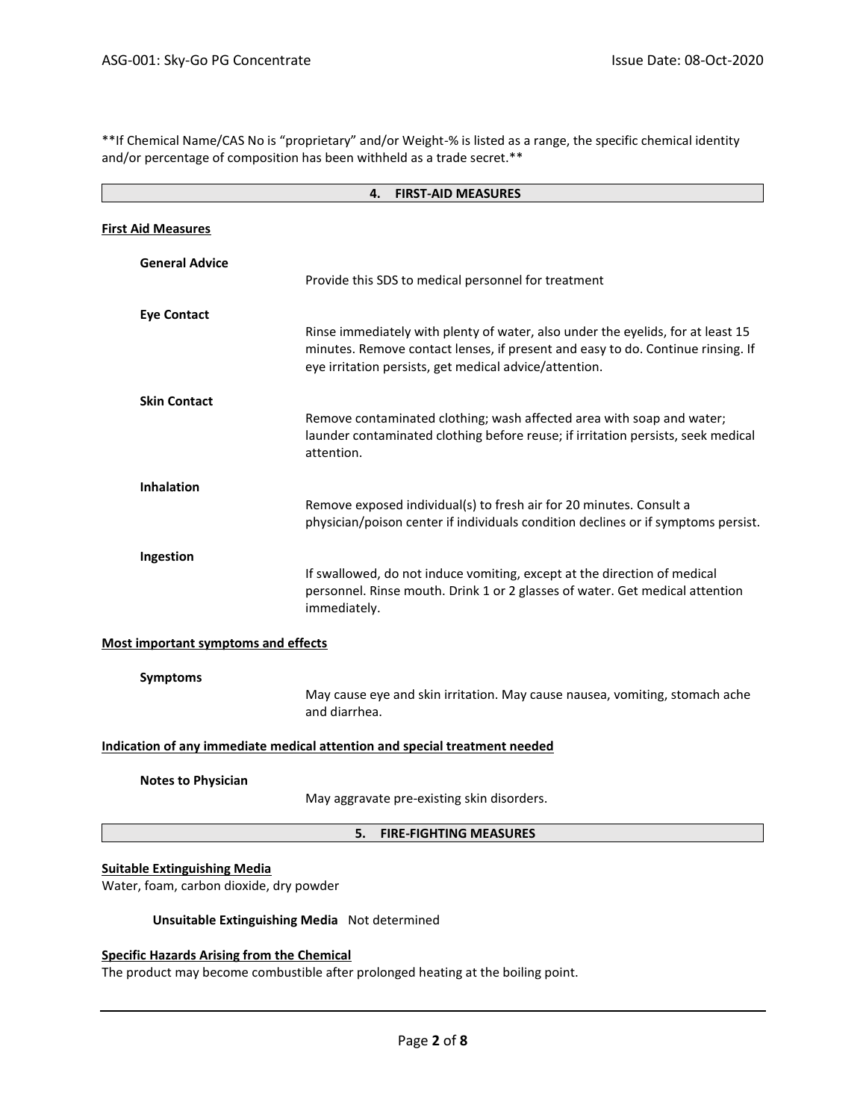\*\*If Chemical Name/CAS No is "proprietary" and/or Weight-% is listed as a range, the specific chemical identity and/or percentage of composition has been withheld as a trade secret.\*\*

| <b>FIRST-AID MEASURES</b><br>4.                                                |                                                                                                                                                                                                                              |  |
|--------------------------------------------------------------------------------|------------------------------------------------------------------------------------------------------------------------------------------------------------------------------------------------------------------------------|--|
| <b>First Aid Measures</b>                                                      |                                                                                                                                                                                                                              |  |
| <b>General Advice</b>                                                          | Provide this SDS to medical personnel for treatment                                                                                                                                                                          |  |
| <b>Eye Contact</b>                                                             | Rinse immediately with plenty of water, also under the eyelids, for at least 15<br>minutes. Remove contact lenses, if present and easy to do. Continue rinsing. If<br>eye irritation persists, get medical advice/attention. |  |
| <b>Skin Contact</b>                                                            | Remove contaminated clothing; wash affected area with soap and water;<br>launder contaminated clothing before reuse; if irritation persists, seek medical<br>attention.                                                      |  |
| <b>Inhalation</b>                                                              | Remove exposed individual(s) to fresh air for 20 minutes. Consult a<br>physician/poison center if individuals condition declines or if symptoms persist.                                                                     |  |
| Ingestion                                                                      | If swallowed, do not induce vomiting, except at the direction of medical<br>personnel. Rinse mouth. Drink 1 or 2 glasses of water. Get medical attention<br>immediately.                                                     |  |
| <b>Most important symptoms and effects</b>                                     |                                                                                                                                                                                                                              |  |
| <b>Symptoms</b>                                                                | May cause eye and skin irritation. May cause nausea, vomiting, stomach ache<br>and diarrhea.                                                                                                                                 |  |
| Indication of any immediate medical attention and special treatment needed     |                                                                                                                                                                                                                              |  |
| <b>Notes to Physician</b>                                                      | May aggravate pre-existing skin disorders.                                                                                                                                                                                   |  |
|                                                                                | <b>FIRE-FIGHTING MEASURES</b><br>5.                                                                                                                                                                                          |  |
| <b>Suitable Extinguishing Media</b><br>Water, foam, carbon dioxide, dry powder |                                                                                                                                                                                                                              |  |
| Unsuitable Extinguishing Media Not determined                                  |                                                                                                                                                                                                                              |  |
| <b>Specific Hazards Arising from the Chemical</b>                              |                                                                                                                                                                                                                              |  |

The product may become combustible after prolonged heating at the boiling point.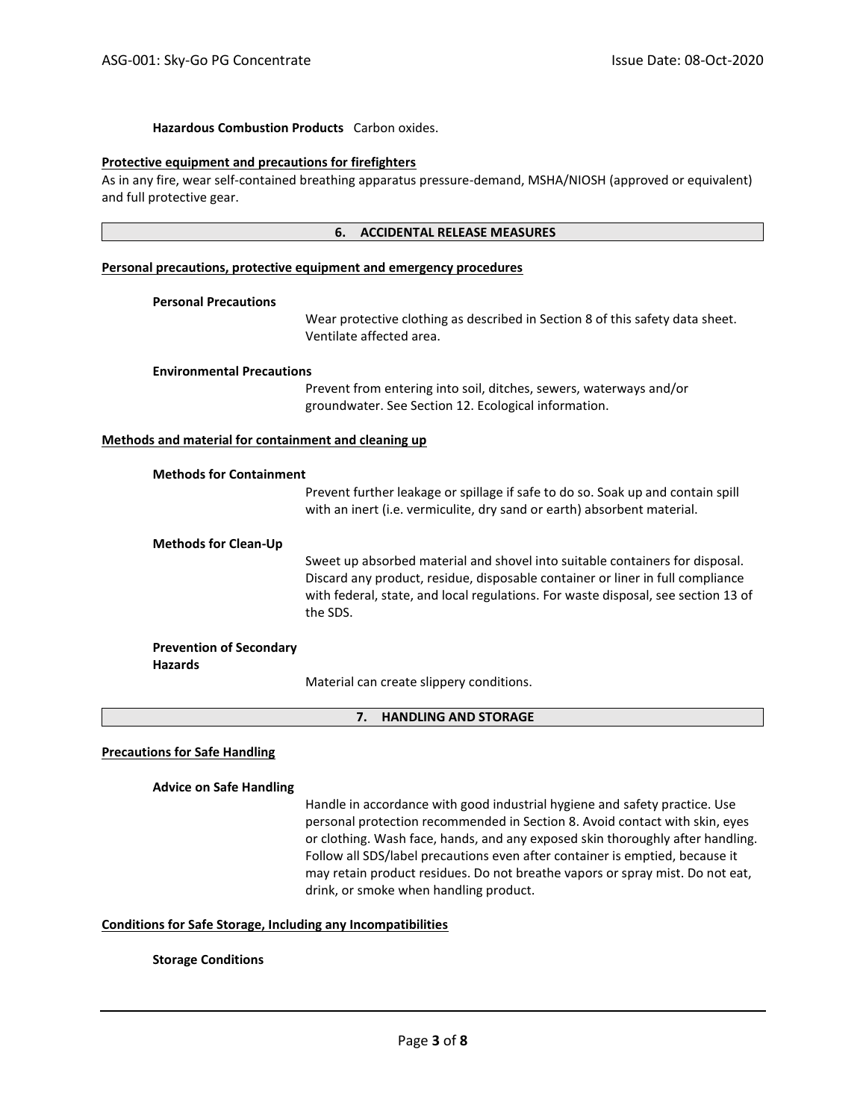# **Hazardous Combustion Products** Carbon oxides.

#### **Protective equipment and precautions for firefighters**

As in any fire, wear self-contained breathing apparatus pressure-demand, MSHA/NIOSH (approved or equivalent) and full protective gear.

#### **6. ACCIDENTAL RELEASE MEASURES**

#### **Personal precautions, protective equipment and emergency procedures**

#### **Personal Precautions**

Wear protective clothing as described in Section 8 of this safety data sheet. Ventilate affected area.

#### **Environmental Precautions**

Prevent from entering into soil, ditches, sewers, waterways and/or groundwater. See Section 12. Ecological information.

#### **Methods and material for containment and cleaning up**

|                                                  | Prevent further leakage or spillage if safe to do so. Soak up and contain spill<br>with an inert (i.e. vermiculite, dry sand or earth) absorbent material.                                                                                                      |
|--------------------------------------------------|-----------------------------------------------------------------------------------------------------------------------------------------------------------------------------------------------------------------------------------------------------------------|
| <b>Methods for Clean-Up</b>                      |                                                                                                                                                                                                                                                                 |
|                                                  | Sweet up absorbed material and shovel into suitable containers for disposal.<br>Discard any product, residue, disposable container or liner in full compliance<br>with federal, state, and local regulations. For waste disposal, see section 13 of<br>the SDS. |
| <b>Prevention of Secondary</b><br><b>Hazards</b> |                                                                                                                                                                                                                                                                 |
|                                                  | Material sem sucche elignesmi semelitiens                                                                                                                                                                                                                       |

Material can create slippery conditions.

#### **7. HANDLING AND STORAGE**

#### **Precautions for Safe Handling**

#### **Advice on Safe Handling**

Handle in accordance with good industrial hygiene and safety practice. Use personal protection recommended in Section 8. Avoid contact with skin, eyes or clothing. Wash face, hands, and any exposed skin thoroughly after handling. Follow all SDS/label precautions even after container is emptied, because it may retain product residues. Do not breathe vapors or spray mist. Do not eat, drink, or smoke when handling product.

#### **Conditions for Safe Storage, Including any Incompatibilities**

#### **Storage Conditions**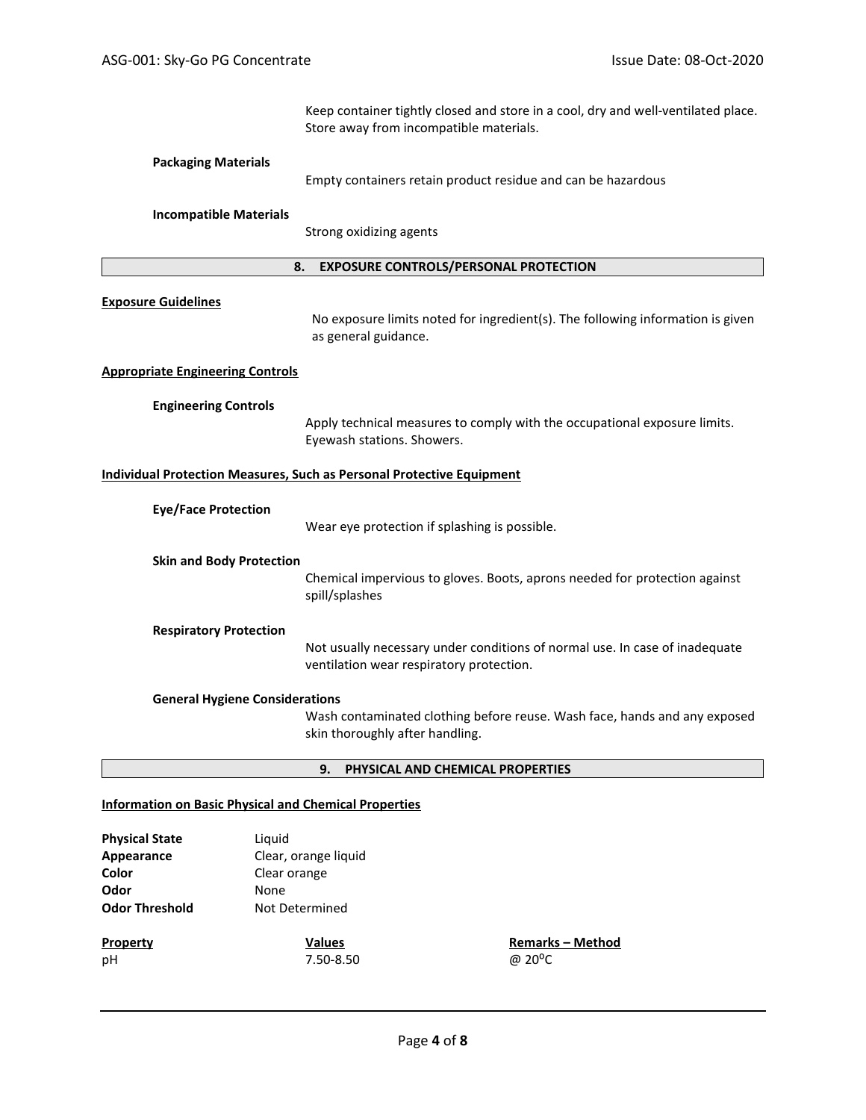Keep container tightly closed and store in a cool, dry and well-ventilated place. Store away from incompatible materials.

# **Packaging Materials**

Empty containers retain product residue and can be hazardous

#### **Incompatible Materials**

Strong oxidizing agents

#### **8. EXPOSURE CONTROLS/PERSONAL PROTECTION**

#### **Exposure Guidelines**

No exposure limits noted for ingredient(s). The following information is given as general guidance.

#### **Appropriate Engineering Controls**

#### **Engineering Controls**

Apply technical measures to comply with the occupational exposure limits. Eyewash stations. Showers.

# **Individual Protection Measures, Such as Personal Protective Equipment**

| <b>Eye/Face Protection</b>            | Wear eye protection if splashing is possible.                                                                           |
|---------------------------------------|-------------------------------------------------------------------------------------------------------------------------|
| <b>Skin and Body Protection</b>       | Chemical impervious to gloves. Boots, aprons needed for protection against<br>spill/splashes                            |
| <b>Respiratory Protection</b>         | Not usually necessary under conditions of normal use. In case of inadequate<br>ventilation wear respiratory protection. |
| <b>General Hygiene Considerations</b> | Wash contaminated clothing before reuse. Wash face, hands and any exposed                                               |

Wash contaminated clothing before reuse. Wash face, hands and any exposed skin thoroughly after handling.

#### **9. PHYSICAL AND CHEMICAL PROPERTIES**

#### **Information on Basic Physical and Chemical Properties**

| <b>Physical State</b><br>Appearance<br>Color | Liguid<br>Clear, orange liquid<br>Clear orange |                                                |
|----------------------------------------------|------------------------------------------------|------------------------------------------------|
| Odor<br><b>Odor Threshold</b>                | None<br>Not Determined                         |                                                |
| <b>Property</b><br>pH                        | <b>Values</b><br>7.50-8.50                     | <b>Remarks - Method</b><br>@ 20 <sup>o</sup> C |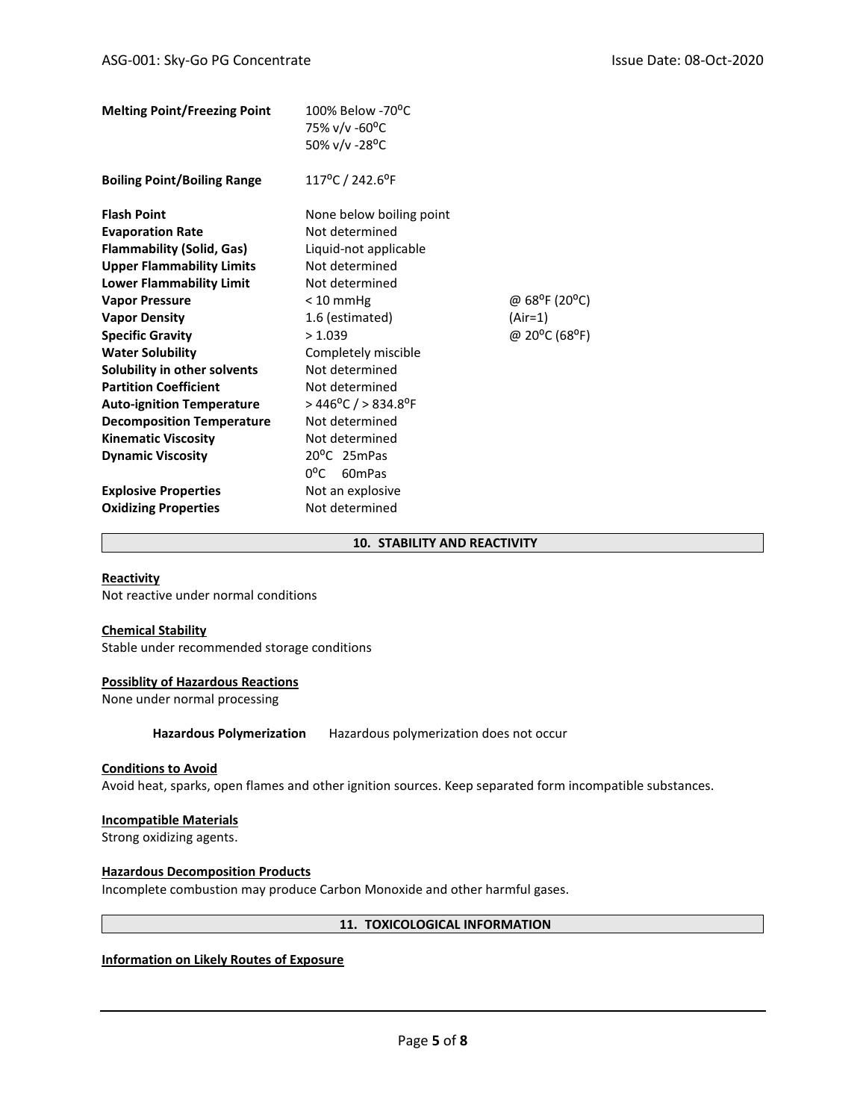| 100% Below -70°C                                  |                                         |
|---------------------------------------------------|-----------------------------------------|
|                                                   |                                         |
| 50% v/v -28°C                                     |                                         |
| 117°C / 242.6°F                                   |                                         |
| None below boiling point                          |                                         |
| Not determined                                    |                                         |
| Liquid-not applicable                             |                                         |
| Not determined                                    |                                         |
| Not determined                                    |                                         |
| $< 10$ mmHg                                       | @ 68 <sup>o</sup> F (20 <sup>o</sup> C) |
| 1.6 (estimated)                                   | (Air=1)                                 |
| > 1.039                                           | @ 20°C (68°F)                           |
| Completely miscible                               |                                         |
| Not determined                                    |                                         |
| Not determined                                    |                                         |
| $>$ 446 <sup>o</sup> C / $>$ 834.8 <sup>o</sup> F |                                         |
| Not determined                                    |                                         |
| Not determined                                    |                                         |
| 20 <sup>o</sup> C 25mPas                          |                                         |
| $0^{\circ}$ C 60mPas                              |                                         |
| Not an explosive                                  |                                         |
| Not determined                                    |                                         |
|                                                   | 75% v/v -60°C                           |

# **10. STABILITY AND REACTIVITY**

#### **Reactivity**

Not reactive under normal conditions

# **Chemical Stability**

Stable under recommended storage conditions

# **Possiblity of Hazardous Reactions**

None under normal processing

**Hazardous Polymerization** Hazardous polymerization does not occur

#### **Conditions to Avoid**

Avoid heat, sparks, open flames and other ignition sources. Keep separated form incompatible substances.

#### **Incompatible Materials**

Strong oxidizing agents.

# **Hazardous Decomposition Products**

Incomplete combustion may produce Carbon Monoxide and other harmful gases.

#### **11. TOXICOLOGICAL INFORMATION**

# **Information on Likely Routes of Exposure**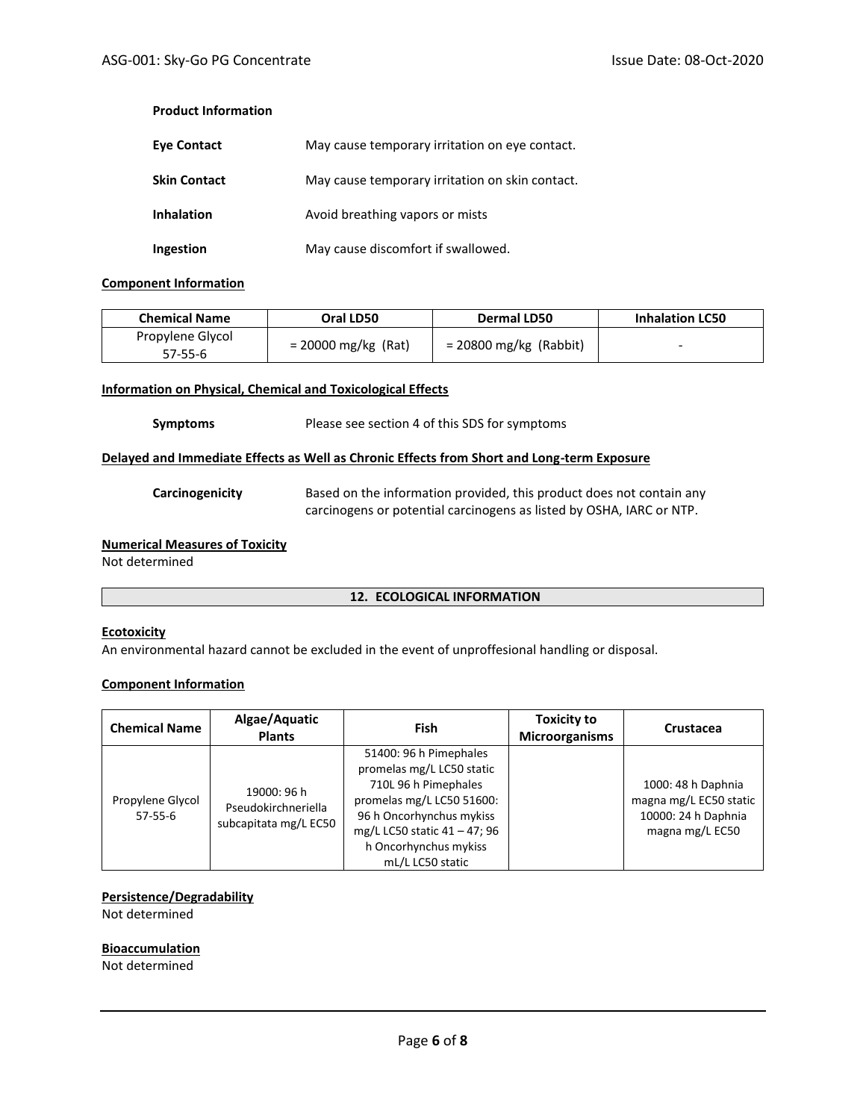# **Product Information**

| <b>Eye Contact</b>  | May cause temporary irritation on eye contact.  |
|---------------------|-------------------------------------------------|
| <b>Skin Contact</b> | May cause temporary irritation on skin contact. |
| <b>Inhalation</b>   | Avoid breathing vapors or mists                 |
| Ingestion           | May cause discomfort if swallowed.              |

# **Component Information**

| <b>Chemical Name</b> | Oral LD50             | Dermal LD50              | <b>Inhalation LC50</b> |
|----------------------|-----------------------|--------------------------|------------------------|
| Propylene Glycol     | $= 20000$ mg/kg (Rat) | $= 20800$ mg/kg (Rabbit) | -                      |
| 57-55-6              |                       |                          |                        |

# **Information on Physical, Chemical and Toxicological Effects**

#### **Symptoms** Please see section 4 of this SDS for symptoms

## **Delayed and Immediate Effects as Well as Chronic Effects from Short and Long-term Exposure**

**Carcinogenicity** Based on the information provided, this product does not contain any carcinogens or potential carcinogens as listed by OSHA, IARC or NTP.

# **Numerical Measures of Toxicity**

Not determined

#### **12. ECOLOGICAL INFORMATION**

#### **Ecotoxicity**

An environmental hazard cannot be excluded in the event of unproffesional handling or disposal.

# **Component Information**

| <b>Chemical Name</b>          | Algae/Aquatic<br><b>Plants</b>                              | Fish                                                                                                                                                                                                              | <b>Toxicity to</b><br><b>Microorganisms</b> | Crustacea                                                                              |
|-------------------------------|-------------------------------------------------------------|-------------------------------------------------------------------------------------------------------------------------------------------------------------------------------------------------------------------|---------------------------------------------|----------------------------------------------------------------------------------------|
| Propylene Glycol<br>$57-55-6$ | 19000: 96 h<br>Pseudokirchneriella<br>subcapitata mg/L EC50 | 51400: 96 h Pimephales<br>promelas mg/L LC50 static<br>710L 96 h Pimephales<br>promelas mg/L LC50 51600:<br>96 h Oncorhynchus mykiss<br>mg/L LC50 static 41 - 47; 96<br>h Oncorhynchus mykiss<br>mL/L LC50 static |                                             | 1000: 48 h Daphnia<br>magna mg/L EC50 static<br>10000: 24 h Daphnia<br>magna mg/L EC50 |

#### **Persistence/Degradability**

Not determined

# **Bioaccumulation**

Not determined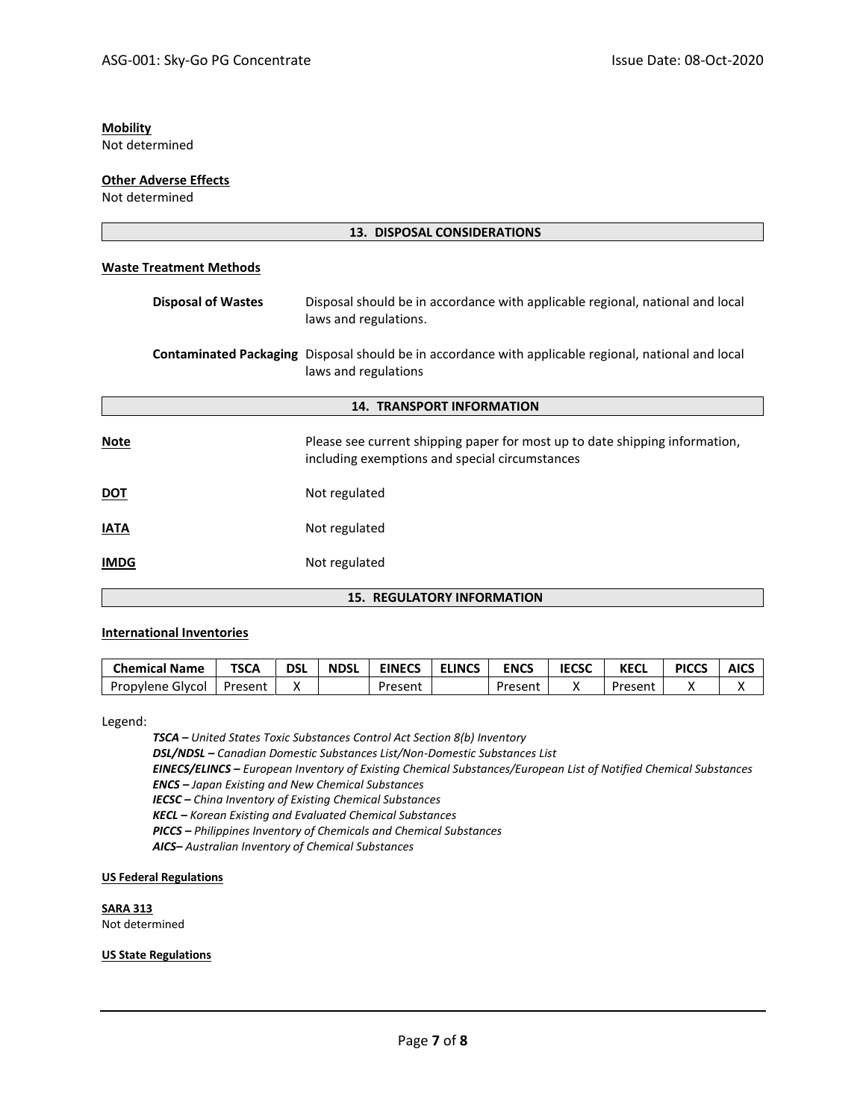# **Mobility**

Not determined

## **Other Adverse Effects**

Not determined

| <b>13. DISPOSAL CONSIDERATIONS</b> |                                                                                                                                     |  |
|------------------------------------|-------------------------------------------------------------------------------------------------------------------------------------|--|
| <b>Waste Treatment Methods</b>     |                                                                                                                                     |  |
| <b>Disposal of Wastes</b>          | Disposal should be in accordance with applicable regional, national and local<br>laws and regulations.                              |  |
|                                    | <b>Contaminated Packaging</b> Disposal should be in accordance with applicable regional, national and local<br>laws and regulations |  |
|                                    | <b>14. TRANSPORT INFORMATION</b>                                                                                                    |  |
| <b>Note</b>                        | Please see current shipping paper for most up to date shipping information,<br>including exemptions and special circumstances       |  |
| <b>DOT</b>                         | Not regulated                                                                                                                       |  |
| <b>IATA</b>                        | Not regulated                                                                                                                       |  |
| <b>IMDG</b>                        | Not regulated                                                                                                                       |  |
| <b>15. REGULATORY INFORMATION</b>  |                                                                                                                                     |  |

# **International Inventories**

| <b>Chemical Name</b> | <b>TSCA</b> | <b>DSL</b> | <b>NDSL</b> | <b>EINECS</b> | <b>ELINCS</b> | <b>ENCS</b> | <b>IECSC</b> | KECL    | <b>PICCS</b> | <b>AICS</b> |
|----------------------|-------------|------------|-------------|---------------|---------------|-------------|--------------|---------|--------------|-------------|
| Propylene Glycol     | Present     |            |             | Present       |               | Present     |              | Present |              |             |

Legend:

*TSCA – United States Toxic Substances Control Act Section 8(b) Inventory DSL/NDSL – Canadian Domestic Substances List/Non-Domestic Substances List*

*EINECS/ELINCS – European Inventory of Existing Chemical Substances/European List of Notified Chemical Substances ENCS – Japan Existing and New Chemical Substances*

*IECSC – China Inventory of Existing Chemical Substances*

*KECL – Korean Existing and Evaluated Chemical Substances*

*PICCS – Philippines Inventory of Chemicals and Chemical Substances*

*AICS– Australian Inventory of Chemical Substances*

#### **US Federal Regulations**

**SARA 313** Not determined

#### **US State Regulations**